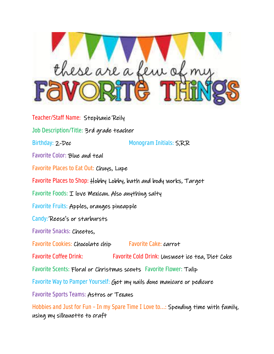

Teacher/Staff Name: Stephanie Reily Job Description/Title: 3rd grade teacher Birthday: 2-Dec Monogram Initials: S,R,R Favorite Color: Blue and teal Favorite Places to Eat Out: Chuys, Lupe Favorite Places to Shop: Hobby Lobby, bath and body works, Target Favorite Foods:  $I$  love Mexican. Also anything salty Favorite Fruits: Apples, oranges pineapple Candy: Reese's or starbursts Favorite Snacks: Cheetos, Favorite Cookies: Chocolate chip Favorite Cake: carrot Favorite Coffee Drink: Favorite Cold Drink: Unsweet ice tea, Diet Coke Favorite Scents: Floral or Christmas scents Favorite Flower: Tulip Favorite Way to Pamper Yourself: Get my nails done manicure or pedicure Favorite Sports Teams: Astros or Texans

Hobbies and Just for Fun – In my Spare Time I Love to...: Spending time with family, using my silhouette to craft